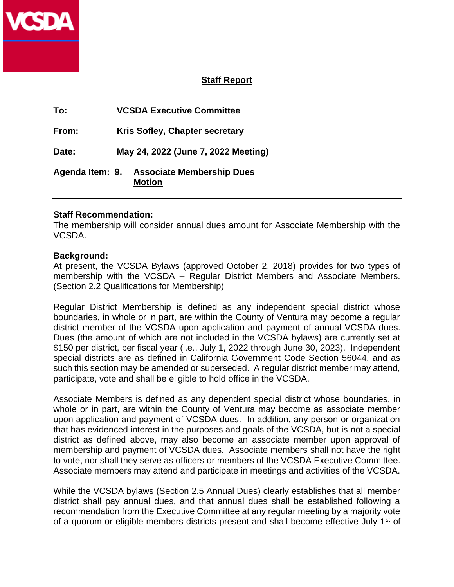

## **Staff Report**

| To:             | <b>VCSDA Executive Committee</b>                  |  |
|-----------------|---------------------------------------------------|--|
| From:           | Kris Sofley, Chapter secretary                    |  |
| Date:           | May 24, 2022 (June 7, 2022 Meeting)               |  |
| Agenda Item: 9. | <b>Associate Membership Dues</b><br><b>Motion</b> |  |

## **Staff Recommendation:**

The membership will consider annual dues amount for Associate Membership with the VCSDA.

## **Background:**

At present, the VCSDA Bylaws (approved October 2, 2018) provides for two types of membership with the VCSDA – Regular District Members and Associate Members. (Section 2.2 Qualifications for Membership)

Regular District Membership is defined as any independent special district whose boundaries, in whole or in part, are within the County of Ventura may become a regular district member of the VCSDA upon application and payment of annual VCSDA dues. Dues (the amount of which are not included in the VCSDA bylaws) are currently set at \$150 per district, per fiscal year (i.e., July 1, 2022 through June 30, 2023). Independent special districts are as defined in California Government Code Section 56044, and as such this section may be amended or superseded. A regular district member may attend, participate, vote and shall be eligible to hold office in the VCSDA.

Associate Members is defined as any dependent special district whose boundaries, in whole or in part, are within the County of Ventura may become as associate member upon application and payment of VCSDA dues. In addition, any person or organization that has evidenced interest in the purposes and goals of the VCSDA, but is not a special district as defined above, may also become an associate member upon approval of membership and payment of VCSDA dues. Associate members shall not have the right to vote, nor shall they serve as officers or members of the VCSDA Executive Committee. Associate members may attend and participate in meetings and activities of the VCSDA.

While the VCSDA bylaws (Section 2.5 Annual Dues) clearly establishes that all member district shall pay annual dues, and that annual dues shall be established following a recommendation from the Executive Committee at any regular meeting by a majority vote of a quorum or eligible members districts present and shall become effective July 1<sup>st</sup> of